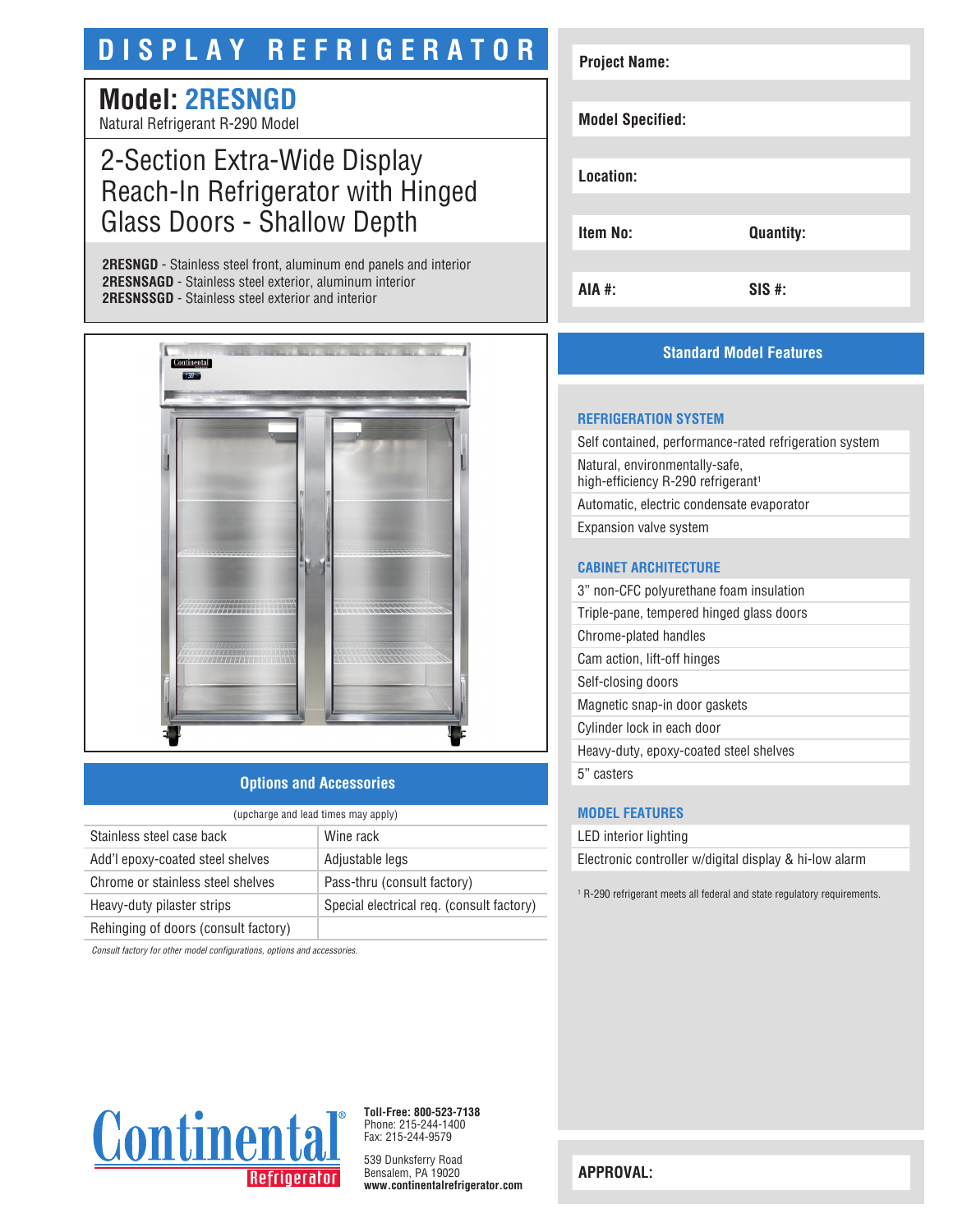# **DISPLAY REFRIGERATOR**

# **Model: 2RESNGD**

Natural Refrigerant R-290 Model

## 2-Section Extra-Wide Display Reach-In Refrigerator with Hinged Glass Doors - Shallow Depth

**2RESNGD** - Stainless steel front, aluminum end panels and interior **2RESNSAGD** - Stainless steel exterior, aluminum interior **2RESNSSGD** - Stainless steel exterior and interior



### **Options and Accessories**

| (upcharge and lead times may apply)  |                                           |  |
|--------------------------------------|-------------------------------------------|--|
| Stainless steel case back            | Wine rack                                 |  |
| Add'l epoxy-coated steel shelves     | Adjustable legs                           |  |
| Chrome or stainless steel shelves    | Pass-thru (consult factory)               |  |
| Heavy-duty pilaster strips           | Special electrical req. (consult factory) |  |
| Rehinging of doors (consult factory) |                                           |  |

*Consult factory for other model configurations, options and accessories.*



### **Standard Model Features**

#### **REFRIGERATION SYSTEM**

Self contained, performance-rated refrigeration system Natural, environmentally-safe, high-efficiency R-290 refrigerant<sup>1</sup> Automatic, electric condensate evaporator Expansion valve system

#### **CABINET ARCHITECTURE**

3" non-CFC polyurethane foam insulation Triple-pane, tempered hinged glass doors Chrome-plated handles Cam action, lift-off hinges Self-closing doors Magnetic snap-in door gaskets Cylinder lock in each door Heavy-duty, epoxy-coated steel shelves 5" casters

#### **MODEL FEATURES**

LED interior lighting

Electronic controller w/digital display & hi-low alarm

1 R-290 refrigerant meets all federal and state regulatory requirements.



**Toll-Free: 800-523-7138** Phone: 215-244-1400 Fax: 215-244-9579

539 Dunksferry Road Bensalem, PA 19020 **www.continentalrefrigerator.com** 

**APPROVAL:**